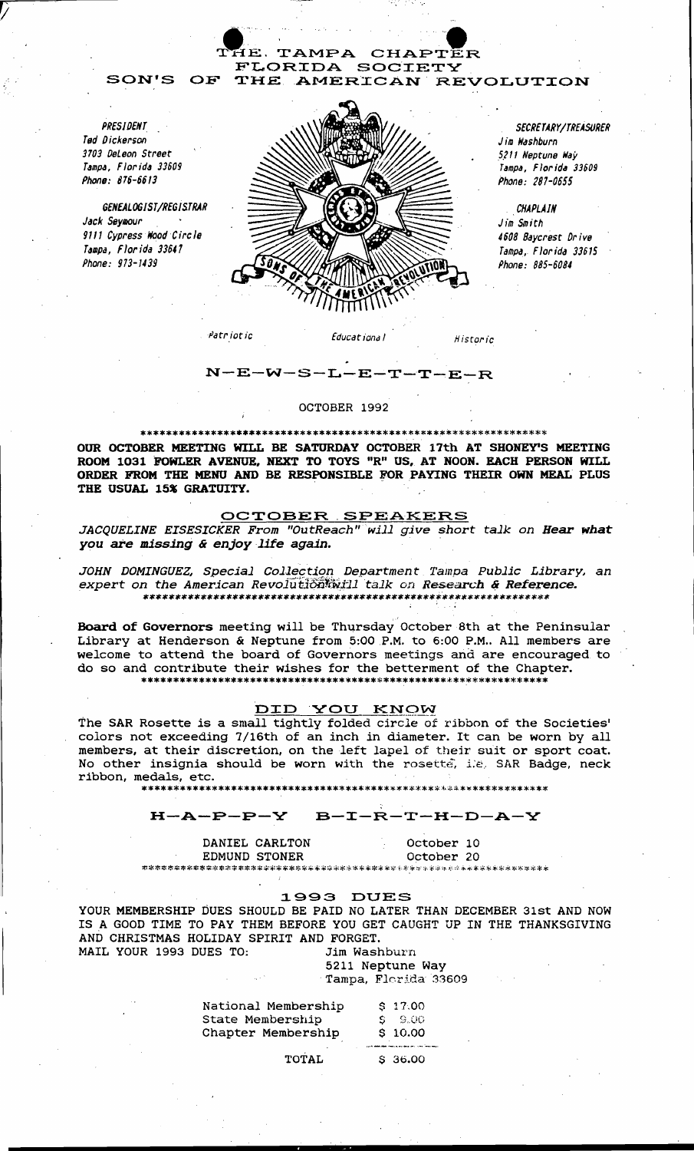

*PRESIDENT*  Ted Dickerson 3103 OeLeon Street Tampa, Florida 33609 Phone: 816-6613

*GENEALOGIST/REGISTRAR*  Jack Seymour 9111 Cypress Wood Circle Tampa, Florida 33647 Phone: 973-1439



*SECRETARY/TREASVRER*  Jim Washburn .5.211 Neptune Way Tampa, Florida 33609 Phone: 287-0555

.. *CHAPLAIN*  Jim Smith 4608 Baycrest Dr ive Tampa, Florida 33615 Phone: 885-6084

#### $N-E-W-S$  $-L-E-T-T-E-R$

#### OCTOBER 1992

#### \*\*\*\*\*\*\*\*\*\*\*\*\*\*\*\*\*\*\*\*\*\*\*\*\*\*\*\*\*\*\*\*\*\*\*\*\*\*\*\*\*\*\*\*\*\*\*\*\*\*\*\*\*\*\*\*\*\*\*\*\*\*\*\*

OUR OCTOBER MEETING WILL BE SATURDAY OCTOBER 17th AT SHONEY'S MEETING ROOM 1031 FOWLER AVENUE, NEXT TO TOYS "R" US, AT NOON. EACH PERSON WILL ORDER FROM THE MENU AND BE RESPONSIBLE FOR PAYING THEIR OWN MEAL PLUS THE USUAL 15% GRATUITY.

#### OCTOBER SPEAKERS

JACQUELINE EISESICKER From "OutReach" will give short talk on Hear what **CORRER SPEAKERS**<br>JACQUELINE EISESICKER From "OutReach" will give sho<br>you are missing & enjoy life again.

JOHN DOMINGUEZ, Special Collection Department *Tampa Public Library*, an expert on the American Revolution will talk on Research & Reference. \*\*\*\*\*\*\*\*\*\*\*\*\*\*\*\*\*\*\*\*\*\*\*\*\*\*\*\*\*\*\*\*\*\*\*\*\*\*\*\*\*\*\*\*\*\*\*\*\*\*\*\*\*\*\*\*\*\*\*\*\*\*\*\*

Board of Governors meeting will be Thursday October 8th at the Peninsular Library at Henderson & Neptune from 5:00 P.M. to 6:00 P.M.. All members are welcome to attend the board of Governors meetings and are encouraged to do so and contribute their wishes for the betterment of the Chapter. \*\*\*\*\*\*\*\*\*\*\*\*\*\*\*\*\*\*\*\*\*\*\*\*\*\*\*\*\*\*\*\*\*\*\*\*\*\*\*\*\*\*\*\*\*\*\*\*\*\*\*\*\*\*\*\*\*\*\*\*\*\*\*\*

#### DID YOU KNOW

The SAR Rosette *is* a small tightly folded circle of ribbon of the Societies' colors not exceeding 7/16th of an inch in diameter. It can be worn by all members, at their discretion, on the left *lapel* of their suit or sport coat. No other insignia should be worn with the rosette, i.e. SAR Badge, neck ribbon, medals, etc.

\*\*\*\*\*\*\*\*\*\*\*\*\*\*\*\*\*\*\*\*\*\*\*\*\*\*\*\*\*\*\*\*\*\*\*\*\*\*\*\*\*\*\*\*\*\*\*~\*\*\*.\*\*\*\*\*\*\*\*\*\*\*\*

### H-A-P-P-Y B-I-R-T-H-D-A-Y

DANIEL CARLTON October 10 EDMUND STONER October 20

# 1993 DUES

YOUR MEMBERSHIP DUES SHOULD BE PAID NO LATER THAN DECEMBER 31st AND NOW IS A GOOD TIME TO PAY THEM BEFORE YOU GET CAUGHT UP IN THE THANKSGIVING AND CHRISTMAS HOLIDAY SPIRIT AND FORGET. MAIL YOUR 1993 DUES TO: *Jim* Washburn

## 5211 Neptune Way . Tampa, Florida 33609

| National Membership | \$17.00                                                   |
|---------------------|-----------------------------------------------------------|
| State Membership    | S 9.00                                                    |
| Chapter Membership  | \$10.00                                                   |
|                     | state and deal of the company of the state of the company |

TOTAL \$ 36.00